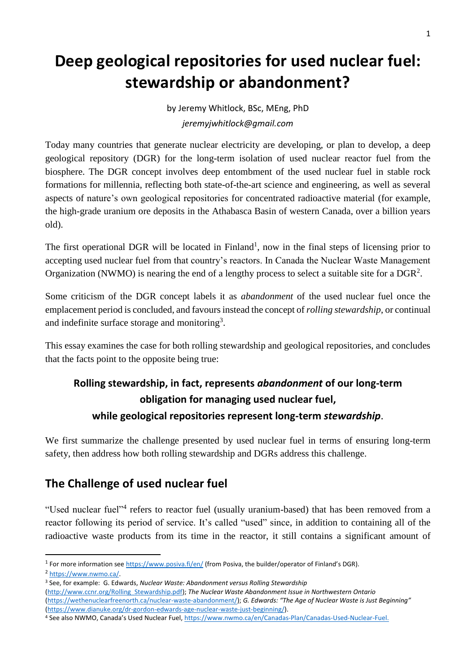# **Deep geological repositories for used nuclear fuel: stewardship or abandonment?**

by Jeremy Whitlock, BSc, MEng, PhD *jeremyjwhitlock@gmail.com*

Today many countries that generate nuclear electricity are developing, or plan to develop, a deep geological repository (DGR) for the long-term isolation of used nuclear reactor fuel from the biosphere. The DGR concept involves deep entombment of the used nuclear fuel in stable rock formations for millennia, reflecting both state-of-the-art science and engineering, as well as several aspects of nature's own geological repositories for concentrated radioactive material (for example, the high-grade uranium ore deposits in the Athabasca Basin of western Canada, over a billion years old).

The first operational DGR will be located in Finland<sup>1</sup>, now in the final steps of licensing prior to accepting used nuclear fuel from that country's reactors. In Canada the Nuclear Waste Management Organization (NWMO) is nearing the end of a lengthy process to select a suitable site for a  $DGR<sup>2</sup>$ .

Some criticism of the DGR concept labels it as *abandonment* of the used nuclear fuel once the emplacement period is concluded, and favours instead the concept of *rolling stewardship*, or continual and indefinite surface storage and monitoring<sup>3</sup>.

This essay examines the case for both rolling stewardship and geological repositories, and concludes that the facts point to the opposite being true:

## **Rolling stewardship, in fact, represents** *abandonment* **of our long-term obligation for managing used nuclear fuel, while geological repositories represent long-term** *stewardship*.

We first summarize the challenge presented by used nuclear fuel in terms of ensuring long-term safety, then address how both rolling stewardship and DGRs address this challenge.

## **The Challenge of used nuclear fuel**

"Used nuclear fuel"<sup>4</sup> refers to reactor fuel (usually uranium-based) that has been removed from a reactor following its period of service. It's called "used" since, in addition to containing all of the radioactive waste products from its time in the reactor, it still contains a significant amount of

**.** 

<sup>&</sup>lt;sup>1</sup> For more information se[e https://www.posiva.fi/en/](https://www.posiva.fi/en/) (from Posiva, the builder/operator of Finland's DGR).

<sup>2</sup> [https://www.nwmo.ca/.](https://www.nwmo.ca/)

<sup>3</sup> See, for example: G. Edwards, *Nuclear Waste: Abandonment versus Rolling Stewardship* [\(http://www.ccnr.org/Rolling\\_Stewardship.pdf\)](http://www.ccnr.org/Rolling_Stewardship.pdf); *The Nuclear Waste Abandonment Issue in Northwestern Ontario* [\(https://wethenuclearfreenorth.ca/nuclear-waste-abandonment/\)](https://wethenuclearfreenorth.ca/nuclear-waste-abandonment/); *G. Edwards: "The Age of Nuclear Waste is Just Beginning"* [\(https://www.dianuke.org/dr-gordon-edwards-age-nuclear-waste-just-beginning/\)](https://www.dianuke.org/dr-gordon-edwards-age-nuclear-waste-just-beginning/).

<sup>4</sup> See also NWMO, Canada's Used Nuclear Fuel, [https://www.nwmo.ca/en/Canadas-Plan/Canadas-Used-Nuclear-Fuel.](https://www.nwmo.ca/en/Canadas-Plan/Canadas-Used-Nuclear-Fuel)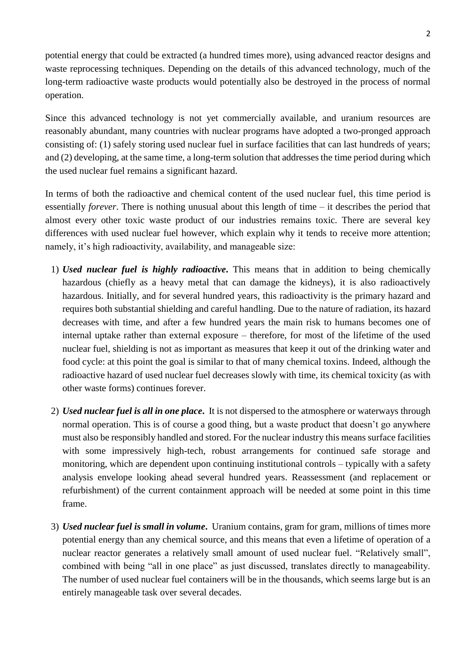potential energy that could be extracted (a hundred times more), using advanced reactor designs and waste reprocessing techniques. Depending on the details of this advanced technology, much of the long-term radioactive waste products would potentially also be destroyed in the process of normal operation.

Since this advanced technology is not yet commercially available, and uranium resources are reasonably abundant, many countries with nuclear programs have adopted a two-pronged approach consisting of: (1) safely storing used nuclear fuel in surface facilities that can last hundreds of years; and (2) developing, at the same time, a long-term solution that addresses the time period during which the used nuclear fuel remains a significant hazard.

In terms of both the radioactive and chemical content of the used nuclear fuel, this time period is essentially *forever*. There is nothing unusual about this length of time – it describes the period that almost every other toxic waste product of our industries remains toxic. There are several key differences with used nuclear fuel however, which explain why it tends to receive more attention; namely, it's high radioactivity, availability, and manageable size:

- 1) *Used nuclear fuel is highly radioactive***.** This means that in addition to being chemically hazardous (chiefly as a heavy metal that can damage the kidneys), it is also radioactively hazardous. Initially, and for several hundred years, this radioactivity is the primary hazard and requires both substantial shielding and careful handling. Due to the nature of radiation, its hazard decreases with time, and after a few hundred years the main risk to humans becomes one of internal uptake rather than external exposure – therefore, for most of the lifetime of the used nuclear fuel, shielding is not as important as measures that keep it out of the drinking water and food cycle: at this point the goal is similar to that of many chemical toxins. Indeed, although the radioactive hazard of used nuclear fuel decreases slowly with time, its chemical toxicity (as with other waste forms) continues forever.
- 2) *Used nuclear fuel is all in one place***.** It is not dispersed to the atmosphere or waterways through normal operation. This is of course a good thing, but a waste product that doesn't go anywhere must also be responsibly handled and stored. For the nuclear industry this means surface facilities with some impressively high-tech, robust arrangements for continued safe storage and monitoring, which are dependent upon continuing institutional controls – typically with a safety analysis envelope looking ahead several hundred years. Reassessment (and replacement or refurbishment) of the current containment approach will be needed at some point in this time frame.
- 3) *Used nuclear fuel is small in volume***.** Uranium contains, gram for gram, millions of times more potential energy than any chemical source, and this means that even a lifetime of operation of a nuclear reactor generates a relatively small amount of used nuclear fuel. "Relatively small", combined with being "all in one place" as just discussed, translates directly to manageability. The number of used nuclear fuel containers will be in the thousands, which seems large but is an entirely manageable task over several decades.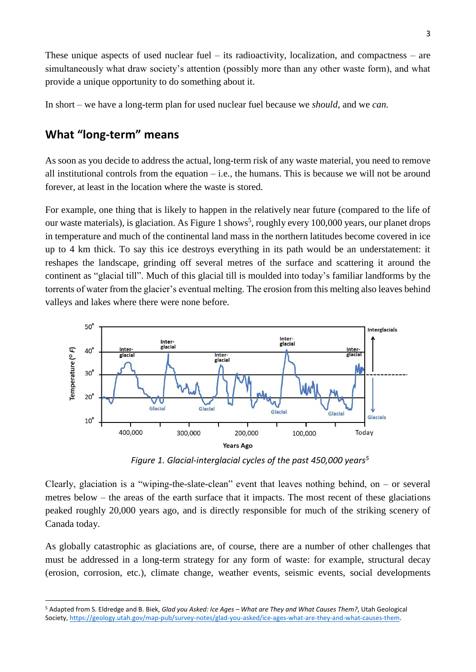These unique aspects of used nuclear fuel – its radioactivity, localization, and compactness – are simultaneously what draw society's attention (possibly more than any other waste form), and what provide a unique opportunity to do something about it.

In short – we have a long-term plan for used nuclear fuel because we *should*, and we *can*.

#### **What "long-term" means**

**.** 

As soon as you decide to address the actual, long-term risk of any waste material, you need to remove all institutional controls from the equation  $-$  i.e., the humans. This is because we will not be around forever, at least in the location where the waste is stored.

<span id="page-2-0"></span>For example, one thing that is likely to happen in the relatively near future (compared to the life of our waste materials), is glaciation. As Figure 1 shows<sup>5</sup>, roughly every 100,000 years, our planet drops in temperature and much of the continental land mass in the northern latitudes become covered in ice up to 4 km thick. To say this ice destroys everything in its path would be an understatement: it reshapes the landscape, grinding off several metres of the surface and scattering it around the continent as "glacial till". Much of this glacial till is moulded into today's familiar landforms by the torrents of water from the glacier's eventual melting. The erosion from this melting also leaves behind valleys and lakes where there were none before.



*Figure 1. Glacial-interglacial cycles of the past 450,000 years[5](#page-2-0)*

Clearly, glaciation is a "wiping-the-slate-clean" event that leaves nothing behind, on  $-$  or several metres below – the areas of the earth surface that it impacts. The most recent of these glaciations peaked roughly 20,000 years ago, and is directly responsible for much of the striking scenery of Canada today.

As globally catastrophic as glaciations are, of course, there are a number of other challenges that must be addressed in a long-term strategy for any form of waste: for example, structural decay (erosion, corrosion, etc.), climate change, weather events, seismic events, social developments

<sup>5</sup> Adapted from S. Eldredge and B. Biek, *Glad you Asked: Ice Ages – What are They and What Causes Them?*, Utah Geological Society, [https://geology.utah.gov/map-pub/survey-notes/glad-you-asked/ice-ages-what-are-they-and-what-causes-them.](https://geology.utah.gov/map-pub/survey-notes/glad-you-asked/ice-ages-what-are-they-and-what-causes-them)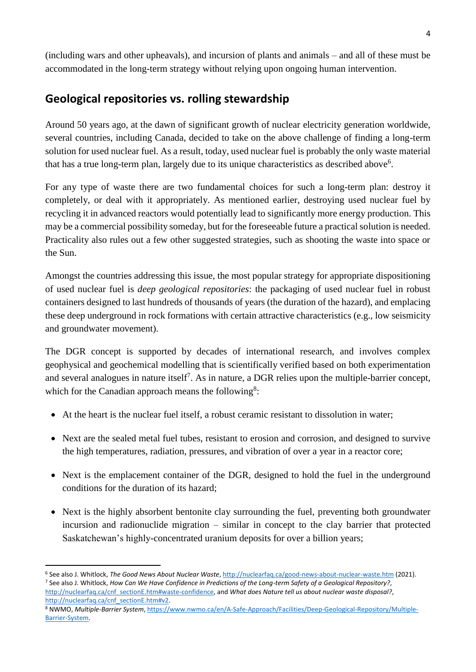(including wars and other upheavals), and incursion of plants and animals – and all of these must be accommodated in the long-term strategy without relying upon ongoing human intervention.

#### **Geological repositories vs. rolling stewardship**

Around 50 years ago, at the dawn of significant growth of nuclear electricity generation worldwide, several countries, including Canada, decided to take on the above challenge of finding a long-term solution for used nuclear fuel. As a result, today, used nuclear fuel is probably the only waste material that has a true long-term plan, largely due to its unique characteristics as described above<sup>6</sup>.

For any type of waste there are two fundamental choices for such a long-term plan: destroy it completely, or deal with it appropriately. As mentioned earlier, destroying used nuclear fuel by recycling it in advanced reactors would potentially lead to significantly more energy production. This may be a commercial possibility someday, but for the foreseeable future a practical solution is needed. Practicality also rules out a few other suggested strategies, such as shooting the waste into space or the Sun.

Amongst the countries addressing this issue, the most popular strategy for appropriate dispositioning of used nuclear fuel is *deep geological repositories*: the packaging of used nuclear fuel in robust containers designed to last hundreds of thousands of years (the duration of the hazard), and emplacing these deep underground in rock formations with certain attractive characteristics (e.g., low seismicity and groundwater movement).

The DGR concept is supported by decades of international research, and involves complex geophysical and geochemical modelling that is scientifically verified based on both experimentation and several analogues in nature itself<sup>7</sup>. As in nature, a DGR relies upon the multiple-barrier concept, which for the Canadian approach means the following<sup>8</sup>:

- At the heart is the nuclear fuel itself, a robust ceramic resistant to dissolution in water;
- Next are the sealed metal fuel tubes, resistant to erosion and corrosion, and designed to survive the high temperatures, radiation, pressures, and vibration of over a year in a reactor core;
- Next is the emplacement container of the DGR, designed to hold the fuel in the underground conditions for the duration of its hazard;
- Next is the highly absorbent bentonite clay surrounding the fuel, preventing both groundwater incursion and radionuclide migration – similar in concept to the clay barrier that protected Saskatchewan's highly-concentrated uranium deposits for over a billion years;

 $\overline{a}$ 

<sup>6</sup> See also J. Whitlock, *The Good News About Nuclear Waste*[, http://nuclearfaq.ca/good-news-about-nuclear-waste.htm](http://nuclearfaq.ca/good-news-about-nuclear-waste.htm) (2021).

<sup>7</sup> See also J. Whitlock, *How Can We Have Confidence in Predictions of the Long-term Safety of a Geological Repository?*, [http://nuclearfaq.ca/cnf\\_sectionE.htm#waste-confidence,](http://nuclearfaq.ca/cnf_sectionE.htm#waste-confidence) and *What does Nature tell us about nuclear waste disposal?*, [http://nuclearfaq.ca/cnf\\_sectionE.htm#v2.](http://nuclearfaq.ca/cnf_sectionE.htm#v2)

<sup>8</sup> NWMO, *Multiple-Barrier System*[, https://www.nwmo.ca/en/A-Safe-Approach/Facilities/Deep-Geological-Repository/Multiple-](https://www.nwmo.ca/en/A-Safe-Approach/Facilities/Deep-Geological-Repository/Multiple-Barrier-System)[Barrier-System.](https://www.nwmo.ca/en/A-Safe-Approach/Facilities/Deep-Geological-Repository/Multiple-Barrier-System)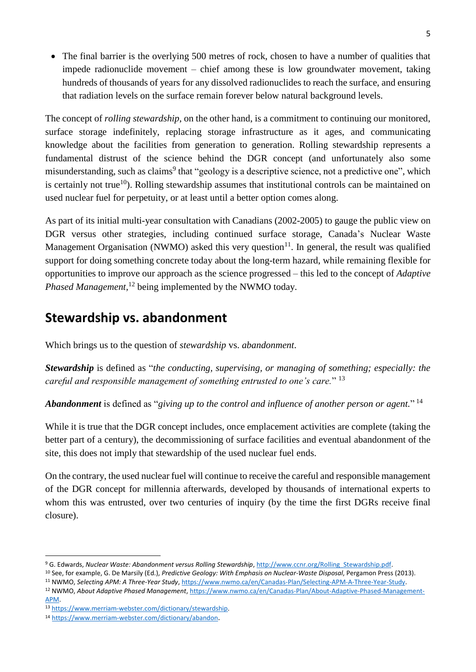• The final barrier is the overlying 500 metres of rock, chosen to have a number of qualities that impede radionuclide movement – chief among these is low groundwater movement, taking hundreds of thousands of years for any dissolved radionuclides to reach the surface, and ensuring that radiation levels on the surface remain forever below natural background levels.

The concept of *rolling stewardship*, on the other hand, is a commitment to continuing our monitored, surface storage indefinitely, replacing storage infrastructure as it ages, and communicating knowledge about the facilities from generation to generation. Rolling stewardship represents a fundamental distrust of the science behind the DGR concept (and unfortunately also some misunderstanding, such as claims<sup>9</sup> that "geology is a descriptive science, not a predictive one", which is certainly not true<sup>10</sup>). Rolling stewardship assumes that institutional controls can be maintained on used nuclear fuel for perpetuity, or at least until a better option comes along.

As part of its initial multi-year consultation with Canadians (2002-2005) to gauge the public view on DGR versus other strategies, including continued surface storage, Canada's Nuclear Waste Management Organisation (NWMO) asked this very question<sup>11</sup>. In general, the result was qualified support for doing something concrete today about the long-term hazard, while remaining flexible for opportunities to improve our approach as the science progressed – this led to the concept of *Adaptive Phased Management,* <sup>12</sup> being implemented by the NWMO today.

# **Stewardship vs. abandonment**

Which brings us to the question of *stewardship* vs. *abandonment*.

*Stewardship* is defined as "*the conducting, supervising, or managing of something; especially: the careful and responsible management of something entrusted to one's care.*" 13

*Abandonment* is defined as "*giving up to the control and influence of another person or agent.*" 14

While it is true that the DGR concept includes, once emplacement activities are complete (taking the better part of a century), the decommissioning of surface facilities and eventual abandonment of the site, this does not imply that stewardship of the used nuclear fuel ends.

On the contrary, the used nuclear fuel will continue to receive the careful and responsible management of the DGR concept for millennia afterwards, developed by thousands of international experts to whom this was entrusted, over two centuries of inquiry (by the time the first DGRs receive final closure).

<sup>1</sup> <sup>9</sup> G. Edwards, *Nuclear Waste: Abandonment versus Rolling Stewardship*, [http://www.ccnr.org/Rolling\\_Stewardship.pdf.](http://www.ccnr.org/Rolling_Stewardship.pdf)

<sup>10</sup> See, for example, G. De Marsily (Ed.), *Predictive Geology: With Emphasis on Nuclear-Waste Disposal*, Pergamon Press (2013).

<sup>11</sup> NWMO, *Selecting APM: A Three-Year Study*[, https://www.nwmo.ca/en/Canadas-Plan/Selecting-APM-A-Three-Year-Study.](https://www.nwmo.ca/en/Canadas-Plan/Selecting-APM-A-Three-Year-Study)

<sup>12</sup> NWMO, *About Adaptive Phased Management*[, https://www.nwmo.ca/en/Canadas-Plan/About-Adaptive-Phased-Management-](https://www.nwmo.ca/en/Canadas-Plan/About-Adaptive-Phased-Management-APM)[APM.](https://www.nwmo.ca/en/Canadas-Plan/About-Adaptive-Phased-Management-APM)

<sup>13</sup> [https://www.merriam-webster.com/dictionary/stewardship.](https://www.merriam-webster.com/dictionary/stewardship)

<sup>14</sup> <https://www.merriam-webster.com/dictionary/abandon>.